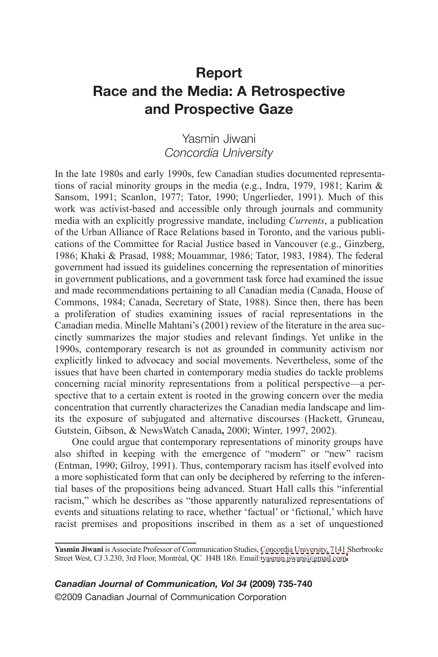## **Report Race and the Media: A Retrospective and Prospective Gaze**

## Yasmin Jiwani *Concordia University*

In the late 1980s and early 1990s, few Canadian studies documented representations of racial minority groups in the media (e.g., Indra, 1979, 1981; Karim & Sansom, 1991; Scanlon, 1977; Tator, 1990; Ungerlieder, 1991). Much of this work was activist-based and accessible only through journals and community media with an explicitly progressive mandate, including *Currents*, a publication of the Urban Alliance of Race Relations based in Toronto, and the various publications of the Committee for Racial Justice based in Vancouver (e.g., Ginzberg, 1986; Khaki & Prasad, 1988; Mouammar, 1986; Tator, 1983, 1984). The federal government had issued its guidelines concerning the representation of minorities in government publications, and a government task force had examined the issue and made recommendations pertaining to all Canadian media (Canada, House of Commons, 1984; Canada, Secretary of State, 1988). Since then, there has been a proliferation of studies examining issues of racial representations in the Canadian media. Minelle Mahtani's (2001) review of the literature in the area succinctly summarizes the major studies and relevant findings. Yet unlike in the 1990s, contemporary research is not as grounded in community activism nor explicitly linked to advocacy and social movements. Nevertheless, some of the issues that have been charted in contemporary media studies do tackle problems concerning racial minority representations from a political perspective—a perspective that to a certain extent is rooted in the growing concern over the media concentration that currently characterizes the Canadian media landscape and limits the exposure of subjugated and alternative discourses (Hackett, Gruneau, Gutstein, Gibson, & NewsWatch Canada**,** 2000; Winter, 1997, 2002).

One could argue that contemporary representations of minority groups have also shifted in keeping with the emergence of "modern" or "new" racism (Entman, 1990; Gilroy, 1991). Thus, contemporary racism has itself evolved into a more sophisticated form that can only be deciphered by referring to the inferential bases of the propositions being advanced. Stuart Hall calls this "inferential racism," which he describes as "those apparently naturalized representations of events and situations relating to race, whether 'factual' or 'fictional,' which have racist premises and propositions inscribed in them as a set of unquestioned

*Canadian Journal of Communication, Vol 34* **(2009) 735-740** ©2009 Canadian Journal of Communication Corporation

Yasmin Jiwani is Associate Professor of Communication Studies, Concordia University, 7141 Sherbrooke Street West, CJ 3.230, 3rd Floor, Montréal, OC H4B 1R6. Email: [yasmin.jiwani@gmail.com.](mailto:yasmin.jiwani@gmail.com)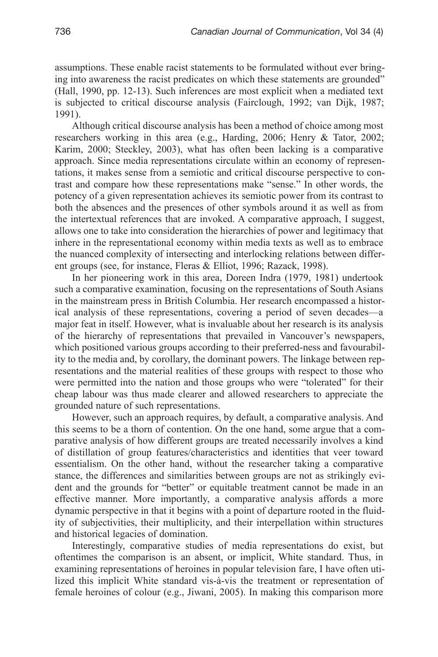assumptions. These enable racist statements to be formulated without ever bringing into awareness the racist predicates on which these statements are grounded" (Hall, 1990, pp. 12-13). Such inferences are most explicit when a mediated text is subjected to critical discourse analysis (Fairclough, 1992; van Dijk, 1987; 1991).

Although critical discourse analysis has been a method of choice among most researchers working in this area (e.g., Harding, 2006; Henry & Tator, 2002; Karim, 2000; Steckley, 2003), what has often been lacking is a comparative approach. Since media representations circulate within an economy of representations, it makes sense from a semiotic and critical discourse perspective to contrast and compare how these representations make "sense." In other words, the potency of a given representation achieves its semiotic power from its contrast to both the absences and the presences of other symbols around it as well as from the intertextual references that are invoked. A comparative approach, I suggest, allows one to take into consideration the hierarchies of power and legitimacy that inhere in the representational economy within media texts as well as to embrace the nuanced complexity of intersecting and interlocking relations between different groups (see, for instance, Fleras & Elliot, 1996; Razack, 1998).

In her pioneering work in this area, Doreen Indra (1979, 1981) undertook such a comparative examination, focusing on the representations of South Asians in the mainstream press in British Columbia. Her research encompassed a historical analysis of these representations, covering a period of seven decades—a major feat in itself. However, what is invaluable about her research is its analysis of the hierarchy of representations that prevailed in Vancouver's newspapers, which positioned various groups according to their preferred-ness and favourability to the media and, by corollary, the dominant powers. The linkage between representations and the material realities of these groups with respect to those who were permitted into the nation and those groups who were "tolerated" for their cheap labour was thus made clearer and allowed researchers to appreciate the grounded nature of such representations.

However, such an approach requires, by default, a comparative analysis. And this seems to be a thorn of contention. On the one hand, some argue that a comparative analysis of how different groups are treated necessarily involves a kind of distillation of group features/characteristics and identities that veer toward essentialism. On the other hand, without the researcher taking a comparative stance, the differences and similarities between groups are not as strikingly evident and the grounds for "better" or equitable treatment cannot be made in an effective manner. More importantly, a comparative analysis affords a more dynamic perspective in that it begins with a point of departure rooted in the fluidity of subjectivities, their multiplicity, and their interpellation within structures and historical legacies of domination.

Interestingly, comparative studies of media representations do exist, but oftentimes the comparison is an absent, or implicit, White standard. Thus, in examining representations of heroines in popular television fare, I have often utilized this implicit White standard vis-à-vis the treatment or representation of female heroines of colour (e.g., Jiwani, 2005). In making this comparison more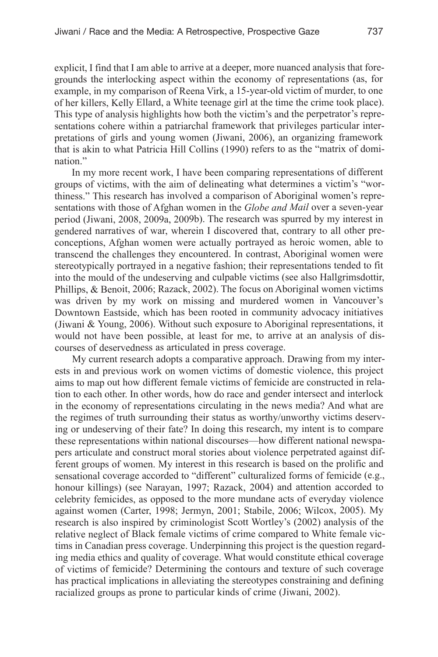explicit, <sup>I</sup> find that <sup>I</sup> am able to arrive at <sup>a</sup> deeper, more nuanced analysis that foregrounds the interlocking aspec<sup>t</sup> within the economy of representations (as, for example, in my comparison of Reena Virk, <sup>a</sup> 15-year-old victim of murder, to one of her killers, Kelly Ellard, <sup>a</sup> White teenage girl at the time the crime took place). This type of analysis highlights how both the victim's and the perpetrator's representations cohere within <sup>a</sup> patriarchal framework that privileges particular interpretations of girls and young women (Jiwani, 2006), an organizing framework that is akin to what Patricia Hill Collins (1990) refers to as the "matrix of domination."

In my more recent work, <sup>I</sup> have been comparing representations of different groups of victims, with the aim of delineating what determines <sup>a</sup> victim's "worthiness." This research has involved <sup>a</sup> comparison of Aboriginal women's representations with those of Afghan women in the *Globe and Mail* over <sup>a</sup> seven-year period (Jiwani, 2008, 2009a, 2009b). The research was spurred by my interest in gendered narratives of war, wherein <sup>I</sup> discovered that, contrary to all other preconceptions, Afghan women were actually portrayed as heroic women, able to transcend the challenges they encountered. In contrast, Aboriginal women were stereotypically portrayed in <sup>a</sup> negative fashion; their representations tended to fit into the mould of the undeserving and culpable victims (see also Hallgrimsdottir, Phillips, & Benoit, 2006; Razack, 2002). The focus on Aboriginal women victims was driven by my work on missing and murdered women in Vancouver's Downtown Eastside, which has been rooted in community advocacy initiatives (Jiwani & Young, 2006). Without such exposure to Aboriginal representations, it would not have been possible, at least for me, to arrive at an analysis of discourses of deservedness as articulated in press coverage.

My current research adopts <sup>a</sup> comparative approach. Drawing from my interests in and previous work on women victims of domestic violence, this project aims to map out how different female victims of femicide are constructed in relation to each other. In other words, how do race and gender intersect and interlock in the economy of representations circulating in the news media? And what are the regimes of truth surrounding their status as worthy/unworthy victims deserving or undeserving of their fate? In doing this research, my intent is to compare these representations within national discourses—how different national newspapers articulate and construct moral stories about violence perpetrated against different groups of women. My interest in this research is based on the prolific and sensational coverage accorded to "different" culturalized forms of femicide (e.g., honour killings) (see Narayan, 1997; Razack, 2004) and attention accorded to celebrity femicides, as opposed to the more mundane acts of everyday violence against women (Carter, 1998; Jermyn, 2001; Stabile, 2006; Wilcox, 2005). My research is also inspired by criminologist Scott Wortley's (2002) analysis of the relative neglect of Black female victims of crime compared to White female victims in Canadian press coverage. Underpinning this project is the question regarding media ethics and quality of coverage. What would constitute ethical coverage of victims of femicide? Determining the contours and texture of such coverage has practical implications in alleviating the stereotypes constraining and defining racialized groups as prone to particular kinds of crime (Jiwani, 2002).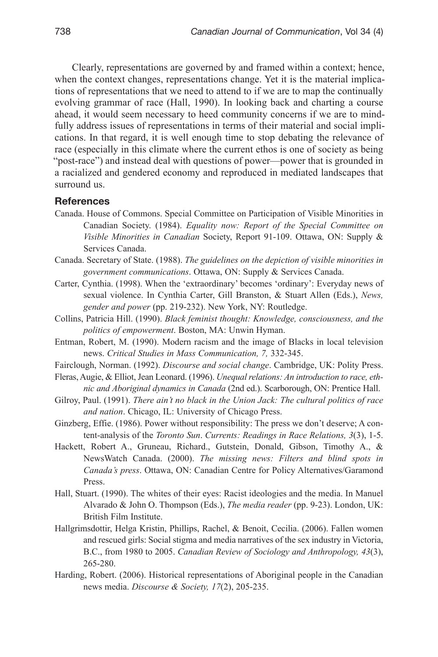Clearly, representations are governed by and framed within a context; hence, when the context changes, representations change. Yet it is the material implications of representations that we need to attend to if we are to map the continually evolving grammar of race (Hall, 1990). In looking back and charting a course ahead, it would seem necessary to heed community concerns if we are to mindfully address issues of representations in terms of their material and social implications. In that regard, it is well enough time to stop debating the relevance of race (especially in this climate where the current ethos is one of society as being "post-race") and instead deal with questions of power—power that is grounded in a racialized and gendered economy and reproduced in mediated landscapes that surround us.

## **References**

- Canada. House of Commons. Special Committee on Participation of Visible Minorities in Canadian Society. (1984). *Equality now: Report of the Special Committee on Visible Minorities in Canadian* Society, Report 91-109. Ottawa, ON: Supply & Services Canada.
- Canada. Secretary of State. (1988). *The guidelines on the depiction of visible minorities in government communications*. Ottawa, ON: Supply & Services Canada.
- Carter, Cynthia. (1998). When the 'extraordinary' becomes 'ordinary': Everyday news of sexual violence. In Cynthia Carter, Gill Branston, & Stuart Allen (Eds.), *News, gender and power* (pp. 219-232). New York, NY: Routledge.
- Collins, Patricia Hill. (1990). *Black feminist thought: Knowledge, consciousness, and the politics of empowerment*. Boston, MA: Unwin Hyman.
- Entman, Robert, M. (1990). Modern racism and the image of Blacks in local television news. *Critical Studies in Mass Communication, 7,* 332-345.
- Fairclough, Norman. (1992). *Discourse and social change*. Cambridge, UK: Polity Press.
- Fleras,Augie, & Elliot,Jean Leonard. (1996). *Unequalrelations: An introduction to race, ethnic and Aboriginal dynamics in Canada* (2nd ed.). Scarborough, ON: Prentice Hall.
- Gilroy, Paul. (1991). *There ain't no black in the Union Jack: The cultural politics of race and nation*. Chicago, IL: University of Chicago Press.
- Ginzberg, Effie. (1986). Power without responsibility: The press we don't deserve; A content-analysis of the *Toronto Sun*. *Currents: Readings in Race Relations, 3*(3), 1-5.
- Hackett, Robert A., Gruneau, Richard., Gutstein, Donald, Gibson, Timothy A., & NewsWatch Canada. (2000). *The missing news: Filters and blind spots in Canada's press*. Ottawa, ON: Canadian Centre for Policy Alternatives/Garamond Press.
- Hall, Stuart. (1990). The whites of their eyes: Racist ideologies and the media. In Manuel Alvarado & John O. Thompson (Eds.), *The media reader* (pp. 9-23). London, UK: British Film Institute.
- Hallgrimsdottir, Helga Kristin, Phillips, Rachel, & Benoit, Cecilia. (2006). Fallen women and rescued girls: Social stigma and media narratives of the sex industry in Victoria, B.C., from 1980 to 2005. *Canadian Review of Sociology and Anthropology, 43*(3), 265-280.
- Harding, Robert. (2006). Historical representations of Aboriginal people in the Canadian news media. *Discourse & Society, 17*(2), 205-235.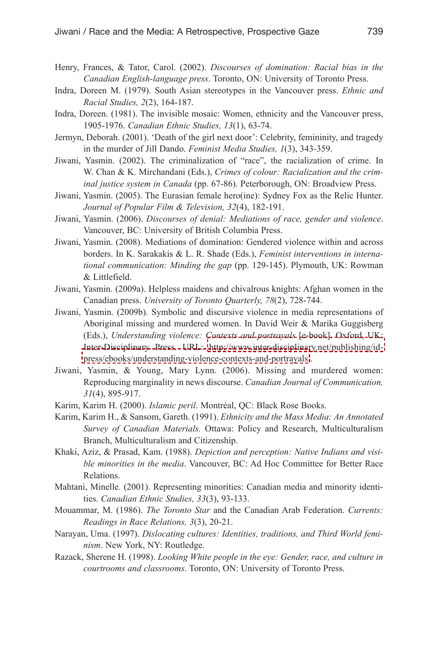- Henry, Frances, & Tator, Carol. (2002). *Discourses of domination: Racial bias in the Canadian English-language press*. Toronto, ON: University of Toronto Press.
- Indra, Doreen M. (1979). South Asian stereotypes in the Vancouver press. *Ethnic and Racial Studies, 2*(2), 164-187.
- Indra, Doreen. (1981). The invisible mosaic: Women, ethnicity and the Vancouver press, 1905-1976. *Canadian Ethnic Studies, 13*(1), 63-74.
- Jermyn, Deborah. (2001). 'Death of the girl next door': Celebrity, femininity, and tragedy in the murder of Jill Dando. *Feminist Media Studies, 1*(3), 343-359.
- Jiwani, Yasmin. (2002). The criminalization of "race", the racialization of crime. In W. Chan & K. Mirchandani (Eds.), *Crimes of colour: Racialization and the criminal justice system in Canada* (pp. 67-86). Peterborough, ON: Broadview Press.
- Jiwani, Yasmin. (2005). The Eurasian female hero(ine): Sydney Fox as the Relic Hunter. *Journal of Popular Film & Television, 32*(4), 182-191.
- Jiwani, Yasmin. (2006). *Discourses of denial: Mediations of race, gender and violence*. Vancouver, BC: University of British Columbia Press.
- Jiwani, Yasmin. (2008). Mediations of domination: Gendered violence within and across borders. In K. Sarakakis & L. R. Shade (Eds.), *Feminist interventions in international communication: Minding the gap* (pp. 129-145). Plymouth, UK: Rowman & Littlefield.
- Jiwani, Yasmin. (2009a). Helpless maidens and chivalrous knights: Afghan women in the Canadian press. *University of Toronto Quarterly, 78*(2), 728-744.
- Jiwani, Yasmin. (2009b). Symbolic and discursive violence in media representations of Aboriginal missing and murdered women. In David Weir & Marika Guggisberg (Eds.), *Understanding violence: Contexts and portrayals* [e-book]. Oxford, UK: Inter-Disciplinary Press. URL: [http://www.inter-disciplinary.net/publishing/id](http://www.inter-disciplinary.net/publishing/id-press/ebooks/understanding-violence-contexts-and-portrayals)[press/ebooks/understanding-violence-contexts-and-portrayals](http://www.inter-disciplinary.net/publishing/id-press/ebooks/understanding-violence-contexts-and-portrayals) .
- Jiwani, Yasmin, & Young, Mary Lynn. (2006). Missing and murdered women: Reproducing marginality in news discourse. *Canadian Journal of Communication, 31*(4), 895-917.
- Karim, Karim H. (2000). *Islamic peril*. Montréal, QC: Black Rose Books.
- Karim, Karim H., & Sansom, Gareth. (1991). *Ethnicity and the Mass Media: An Annotated Survey of Canadian Materials.* Ottawa: Policy and Research, Multiculturalism Branch, Multiculturalism and Citizenship.
- Khaki, Aziz, & Prasad, Kam. (1988). *Depiction and perception: Native Indians and visible minorities in the media*. Vancouver, BC: Ad Hoc Committee for Better Race Relations.
- Mahtani, Minelle. (2001). Representing minorities: Canadian media and minority identities. *Canadian Ethnic Studies, 33*(3), 93-133.
- Mouammar, M. (1986). *The Toronto Star* and the Canadian Arab Federation. *Currents: Readings in Race Relations, 3*(3), 20-21.
- Narayan, Uma. (1997). *Dislocating cultures: Identities, traditions, and Third World feminism*. New York, NY: Routledge.
- Razack, Sherene H. (1998). *Looking White people in the eye: Gender, race, and culture in courtrooms and classrooms*. Toronto, ON: University of Toronto Press.